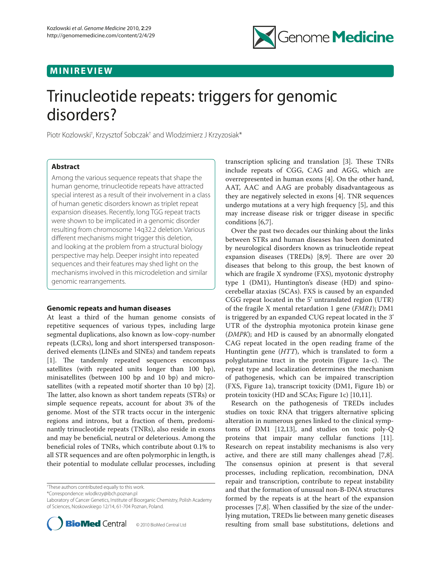## **MINIREVIEW**



# Trinucleotide repeats: triggers for genomic disorders?

Piotr Kozlowski<sup>†</sup>, Krzysztof Sobczak<sup>†</sup> and Wlodzimierz J Krzyzosiak\*

## **Abstract**

Among the various sequence repeats that shape the human genome, trinucleotide repeats have attracted special interest as a result of their involvement in a class of human genetic disorders known as triplet repeat expansion diseases. Recently, long TGG repeat tracts were shown to be implicated in a genomic disorder resulting from chromosome 14q32.2 deletion. Various different mechanisms might trigger this deletion, and looking at the problem from a structural biology perspective may help. Deeper insight into repeated sequences and their features may shed light on the mechanisms involved in this microdeletion and similar genomic rearrangements.

## **Genomic repeats and human diseases**

At least a third of the human genome consists of repetitive sequences of various types, including large segmental duplications, also known as low-copy-number repeats (LCRs), long and short interspersed transposonderived elements (LINEs and SINEs) and tandem repeats [1]. The tandemly repeated sequences encompass satellites (with repeated units longer than 100 bp), minisatellites (between 100 bp and 10 bp) and microsatellites (with a repeated motif shorter than 10 bp) [2]. The latter, also known as short tandem repeats (STRs) or simple sequence repeats, account for about 3% of the genome. Most of the STR tracts occur in the intergenic regions and introns, but a fraction of them, predominantly trinucleotide repeats (TNRs), also reside in exons and may be beneficial, neutral or deleterious. Among the beneficial roles of TNRs, which contribute about 0.1% to all STR sequences and are often polymorphic in length, is their potential to modulate cellular processes, including

† These authors contributed equally to this work.

\*Correspondence: wlodkrzy@ibch.poznan.pl

Laboratory of Cancer Genetics, Institute of Bioorganic Chemistry, Polish Academy of Sciences, Noskowskiego 12/14, 61-704 Poznan, Poland.



transcription splicing and translation [3]. These TNRs include repeats of CGG, CAG and AGG, which are overrepresented in human exons [4]. On the other hand, AAT, AAC and AAG are probably disadvantageous as they are negatively selected in exons [4]. TNR sequences undergo mutations at a very high frequency [5], and this may increase disease risk or trigger disease in specific conditions [6,7].

Over the past two decades our thinking about the links between STRs and human diseases has been dominated by neurological disorders known as trinucleotide repeat expansion diseases (TREDs)  $[8,9]$ . There are over 20 diseases that belong to this group, the best known of which are fragile X syndrome (FXS), myotonic dystrophy type 1 (DM1), Huntington's disease (HD) and spinocerebellar ataxias (SCAs). FXS is caused by an expanded CGG repeat located in the 5' untranslated region (UTR) of the fragile X mental retardation 1 gene (*FMR1*); DM1 is triggered by an expanded CUG repeat located in the 3' UTR of the dystrophia myotonica protein kinase gene (*DMPK*); and HD is caused by an abnormally elongated CAG repeat located in the open reading frame of the Huntingtin gene (*HTT*), which is translated to form a polyglutamine tract in the protein (Figure 1a-c). The repeat type and localization determines the mechanism of pathogenesis, which can be impaired transcription (FXS, Figure 1a), transcript toxicity (DM1, Figure 1b) or protein toxicity (HD and SCAs; Figure 1c) [10,11].

Research on the pathogenesis of TREDs includes studies on toxic RNA that triggers alternative splicing alteration in numerous genes linked to the clinical symptoms of DM1 [12,13], and studies on toxic poly-Q proteins that impair many cellular functions [11]. Research on repeat instability mechanisms is also very active, and there are still many challenges ahead [7,8]. The consensus opinion at present is that several processes, including replication, recombination, DNA repair and transcription, contribute to repeat instability and that the formation of unusual non-B-DNA structures formed by the repeats is at the heart of the expansion processes [7,8]. When classified by the size of the underlying mutation, TREDs lie between many genetic diseases resulting from small base substitutions, deletions and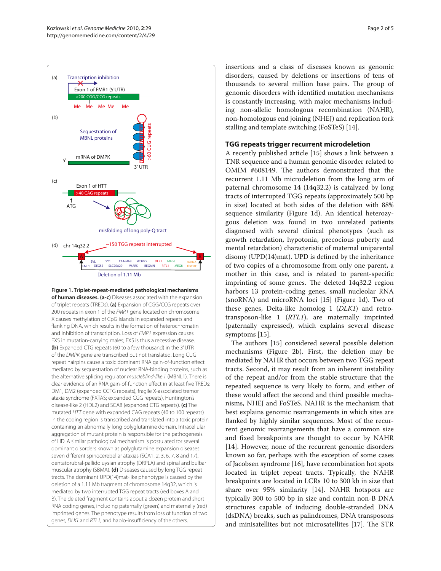

**Figure 1. Triplet-repeat-mediated pathological mechanisms of human diseases. (a-c)** Diseases associated with the expansion of triplet repeats (TREDs). **(a)** Expansion of CGG/CCG repeats over 200 repeats in exon 1 of the *FMR1* gene located on chromosome X causes methylation of CpG islands in expanded repeats and flanking DNA, which results in the formation of heterochromatin and inhibition of transcription. Loss of *FMR1* expression causes FXS in mutation-carrying males; FXS is thus a recessive disease. **(b)** Expanded CTG repeats (60 to a few thousand) in the 3' UTR of the *DMPK* gene are transcribed but not translated. Long CUG repeat hairpins cause a toxic dominant RNA gain-of-function effect mediated by sequestration of nuclear RNA-binding proteins, such as the alternative splicing regulator *muscleblind-like 1* (MBNL1). There is clear evidence of an RNA gain-of-function effect in at least five TREDs: DM1, DM2 (expanded CCTG repeats), fragile X-associated tremor ataxia syndrome (FXTAS; expanded CGG repeats), Huntington's disease-like 2 (HDL2) and SCA8 (expanded CTG repeats). **(c)** The mutated *HTT* gene with expanded CAG repeats (40 to 100 repeats) in the coding region is transcribed and translated into a toxic protein containing an abnormally long polyglutamine domain. Intracellular aggregation of mutant protein is responsible for the pathogenesis of HD. A similar pathological mechanism is postulated for several dominant disorders known as polyglutamine expansion diseases: seven different spinocerebellar ataxias (SCA1, 2, 3, 6, 7, 8 and 17), dentatorubral-pallidoluysian atrophy (DRPLA) and spinal and bulbar muscular atrophy (SBMA). **(d)** Diseases caused by long TGG repeat tracts. The dominant UPD(14)mat-like phenotype is caused by the deletion of a 1.11 Mb fragment of chromosome 14q32, which is mediated by two interrupted TGG repeat tracts (red boxes A and B). The deleted fragment contains about a dozen protein and short RNA coding genes, including paternally (green) and maternally (red) imprinted genes. The phenotype results from loss of function of two genes, *DLK1* and *RTL1*, and haplo-insufficiency of the others.

insertions and a class of diseases known as genomic disorders, caused by deletions or insertions of tens of thousands to several million base pairs. The group of genomic disorders with identified mutation mechanisms is constantly increasing, with major mechanisms including non-allelic homologous recombination (NAHR), non-homologous end joining (NHEJ) and replication fork stalling and template switching (FoSTeS) [14].

## **TGG repeats trigger recurrent microdeletion**

A recently published article [15] shows a link between a TNR sequence and a human genomic disorder related to OMIM #608149. The authors demonstrated that the recurrent 1.11 Mb microdeletion from the long arm of paternal chromosome 14 (14q32.2) is catalyzed by long tracts of interrupted TGG repeats (approximately 500 bp in size) located at both sides of the deletion with 88% sequence similarity (Figure 1d). An identical heterozygous deletion was found in two unrelated patients diagnosed with several clinical phenotypes (such as growth retardation, hypotonia, precocious puberty and mental retardation) characteristic of maternal uniparental disomy (UPD(14)mat). UPD is defined by the inheritance of two copies of a chromosome from only one parent, a mother in this case, and is related to parent-specific imprinting of some genes. The deleted 14q32.2 region harbors 13 protein-coding genes, small nucleolar RNA (snoRNA) and microRNA loci [15] (Figure 1d). Two of these genes, Delta-like homolog 1 (*DLK1*) and retrotransposon-like 1 (*RTL1*), are maternally imprinted (paternally expressed), which explains several disease symptoms [15].

The authors [15] considered several possible deletion mechanisms (Figure 2b). First, the deletion may be mediated by NAHR that occurs between two TGG repeat tracts. Second, it may result from an inherent instability of the repeat and/or from the stable structure that the repeated sequence is very likely to form, and either of these would affect the second and third possible mechanisms, NHEJ and FoSTeS. NAHR is the mechanism that best explains genomic rearrangements in which sites are flanked by highly similar sequences. Most of the recurrent genomic rearrangements that have a common size and fixed breakpoints are thought to occur by NAHR [14]. However, none of the recurrent genomic disorders known so far, perhaps with the exception of some cases of Jacobsen syndrome [16], have recombination hot spots located in triplet repeat tracts. Typically, the NAHR breakpoints are located in LCRs 10 to 300 kb in size that share over 95% similarity [14]. NAHR hotspots are typically 300 to 500 bp in size and contain non-B DNA structures capable of inducing double-stranded DNA (dsDNA) breaks, such as palindromes, DNA transposons and minisatellites but not microsatellites [17]. The STR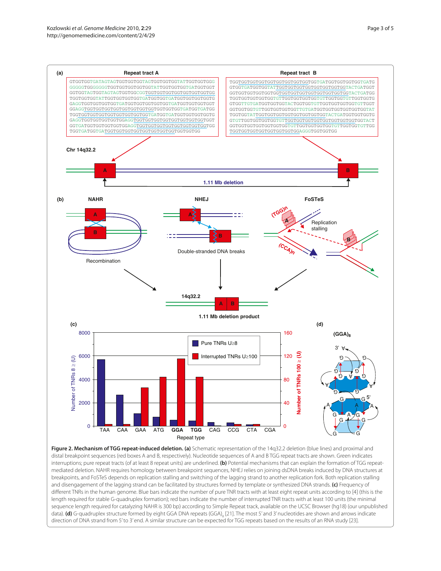

**Figure 2. Mechanism of TGG repeat-induced deletion. (a)** Schematic representation of the 14q32.2 deletion (blue lines) and proximal and distal breakpoint sequences (red boxes A and B, respectively). Nucleotide sequences of A and B TGG repeat tracts are shown. Green indicates interruptions; pure repeat tracts (of at least 8 repeat units) are underlined. **(b)** Potential mechanisms that can explain the formation of TGG repeatmediated deletion. NAHR requires homology between breakpoint sequences, NHEJ relies on joining dsDNA breaks induced by DNA structures at breakpoints, and FoSTeS depends on replication stalling and switching of the lagging strand to another replication fork. Both replication stalling and disengagement of the lagging strand can be facilitated by structures formed by template or synthesized DNA strands. **(c)** Frequency of different TNRs in the human genome. Blue bars indicate the number of pure TNR tracts with at least eight repeat units according to [4] (this is the length required for stable G-quadruplex formation); red bars indicate the number of interrupted TNR tracts with at least 100 units (the minimal sequence length required for catalyzing NAHR is 300 bp) according to Simple Repeat track, available on the UCSC Browser (hg18) (our unpublished data). **(d)** G-quadruplex structure formed by eight GGA DNA repeats (GGA)<sub>8</sub> [21]. The most 5' and 3' nucleotides are shown and arrows indicate direction of DNA strand from 5' to 3' end. A similar structure can be expected for TGG repeats based on the results of an RNA study [23].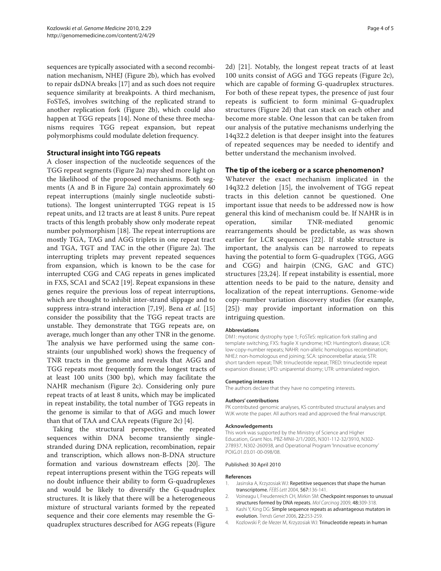sequences are typically associated with a second recombination mechanism, NHEJ (Figure 2b), which has evolved to repair dsDNA breaks [17] and as such does not require sequence similarity at breakpoints. A third mechanism, FoSTeS, involves switching of the replicated strand to another replication fork (Figure 2b), which could also happen at TGG repeats [14]. None of these three mechanisms requires TGG repeat expansion, but repeat polymorphisms could modulate deletion frequency.

## **Structural insight into TGG repeats**

A closer inspection of the nucleotide sequences of the TGG repeat segments (Figure 2a) may shed more light on the likelihood of the proposed mechanisms. Both segments (A and B in Figure 2a) contain approximately 60 repeat interruptions (mainly single nucleotide substitutions). The longest uninterrupted TGG repeat is 15 repeat units, and 12 tracts are at least 8 units. Pure repeat tracts of this length probably show only moderate repeat number polymorphism [18]. The repeat interruptions are mostly TGA, TAG and AGG triplets in one repeat tract and TGA, TGT and TAC in the other (Figure 2a). The interrupting triplets may prevent repeated sequences from expansion, which is known to be the case for interrupted CGG and CAG repeats in genes implicated in FXS, SCA1 and SCA2 [19]. Repeat expansions in these genes require the previous loss of repeat interruptions, which are thought to inhibit inter-strand slippage and to suppress intra-strand interaction [7,19]. Bena *et al.* [15] consider the possibility that the TGG repeat tracts are unstable. They demonstrate that TGG repeats are, on average, much longer than any other TNR in the genome. The analysis we have performed using the same constraints (our unpublished work) shows the frequency of TNR tracts in the genome and reveals that AGG and TGG repeats most frequently form the longest tracts of at least 100 units (300 bp), which may facilitate the NAHR mechanism (Figure 2c). Considering only pure repeat tracts of at least 8 units, which may be implicated in repeat instability, the total number of TGG repeats in the genome is similar to that of AGG and much lower than that of TAA and CAA repeats (Figure 2c) [4].

Taking the structural perspective, the repeated sequences within DNA become transiently singlestranded during DNA replication, recombination, repair and transcription, which allows non-B-DNA structure formation and various downstream effects [20]. The repeat interruptions present within the TGG repeats will no doubt influence their ability to form G-quadruplexes and would be likely to diversify the G-quadruplex structures. It is likely that there will be a heterogeneous mixture of structural variants formed by the repeated sequence and their core elements may resemble the Gquadruplex structures described for AGG repeats (Figure 2d) [21]. Notably, the longest repeat tracts of at least 100 units consist of AGG and TGG repeats (Figure 2c), which are capable of forming G-quadruplex structures. For both of these repeat types, the presence of just four repeats is sufficient to form minimal G-quadruplex structures (Figure 2d) that can stack on each other and become more stable. One lesson that can be taken from our analysis of the putative mechanisms underlying the 14q32.2 deletion is that deeper insight into the features of repeated sequences may be needed to identify and better understand the mechanism involved.

### **The tip of the iceberg or a scarce phenomenon?**

Whatever the exact mechanism implicated in the 14q32.2 deletion [15], the involvement of TGG repeat tracts in this deletion cannot be questioned. One important issue that needs to be addressed now is how general this kind of mechanism could be. If NAHR is in operation, similar TNR-mediated genomic rearrangements should be predictable, as was shown earlier for LCR sequences [22]. If stable structure is important, the analysis can be narrowed to repeats having the potential to form G-quadruplex (TGG, AGG and CGG) and hairpin (CNG, GAC and GTC) structures [23,24]. If repeat instability is essential, more attention needs to be paid to the nature, density and localization of the repeat interruptions. Genome-wide copy-number variation discovery studies (for example, [25]) may provide important information on this intriguing question.

#### **Abbreviations**

DM1: myotonic dystrophy type 1; FoSTeS: replication fork stalling and template switching; FXS: fragile X syndrome; HD: Huntington's disease; LCR: low-copy-number repeats; NAHR: non-allelic homologous recombination; NHEJ: non-homologous end joining; SCA: spinocerebellar ataxia; STR: short tandem repeat; TNR: trinucleotide repeat; TRED: trinucleotide repeat expansion disease; UPD: uniparental disomy; UTR: untranslated region.

#### **Competing interests**

The authors declare that they have no competing interests.

## **Authors' contributions**

PK contributed genomic analyses, KS contributed structural analyses and WJK wrote the paper. All authors read and approved the final manuscript.

#### **Acknowledgements**

This work was supported by the Ministry of Science and Higher Education, Grant Nos. PBZ-MNiI-2/1/2005, N301-112-32/3910, N302- 278937, N302-260938, and Operational Program 'Innovative economy' POIG.01.03.01-00-098/08.

#### Published: 30 April 2010

#### **References**

- 1. Jasinska A, Krzyzosiak WJ: Repetitive sequences that shape the human transcriptome. *FEBS Lett* 2004, 567:136-141.
- 2. Voineagu I, Freudenreich CH, Mirkin SM: Checkpoint responses to unusual structures formed by DNA repeats. *Mol Carcinog* 2009, 48:309-318.
- 3. Kashi Y, King DG: Simple sequence repeats as advantageous mutators in evolution. *Trends Genet* 2006, 22:253-259.
- 4. Kozlowski P, de Mezer M, Krzyzosiak WJ: Trinucleotide repeats in human